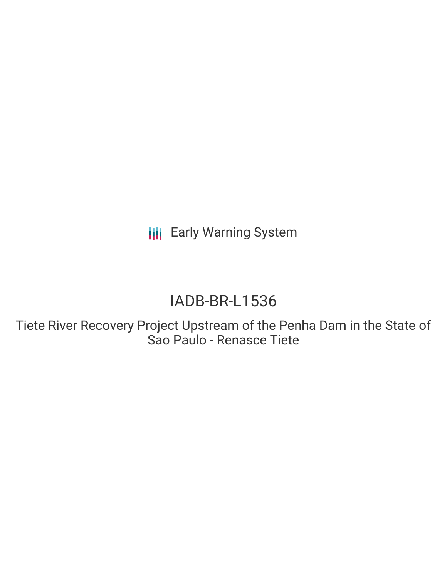**III** Early Warning System

# IADB-BR-L1536

Tiete River Recovery Project Upstream of the Penha Dam in the State of Sao Paulo - Renasce Tiete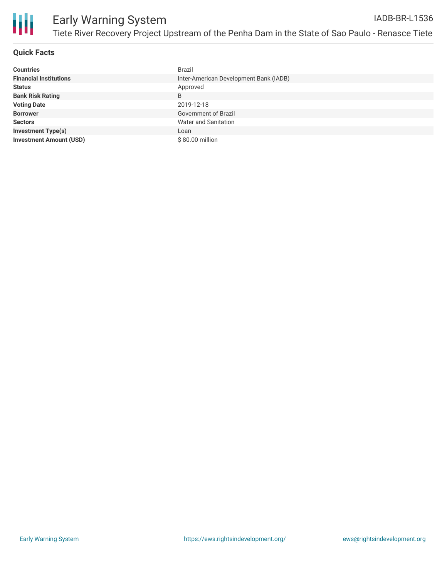

#### **Quick Facts**

| <b>Countries</b>               | <b>Brazil</b>                          |
|--------------------------------|----------------------------------------|
| <b>Financial Institutions</b>  | Inter-American Development Bank (IADB) |
| <b>Status</b>                  | Approved                               |
| <b>Bank Risk Rating</b>        | B                                      |
| <b>Voting Date</b>             | 2019-12-18                             |
| <b>Borrower</b>                | Government of Brazil                   |
| <b>Sectors</b>                 | Water and Sanitation                   |
| <b>Investment Type(s)</b>      | Loan                                   |
| <b>Investment Amount (USD)</b> | \$80.00 million                        |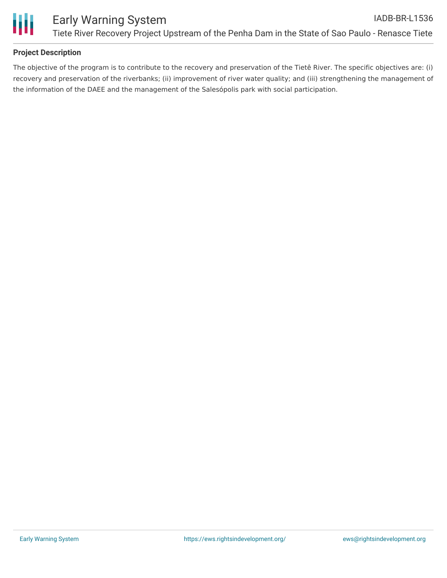

### **Project Description**

The objective of the program is to contribute to the recovery and preservation of the Tietê River. The specific objectives are: (i) recovery and preservation of the riverbanks; (ii) improvement of river water quality; and (iii) strengthening the management of the information of the DAEE and the management of the Salesópolis park with social participation.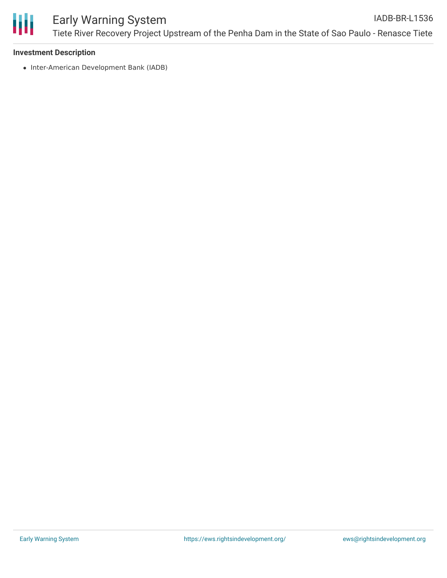

#### **Investment Description**

• Inter-American Development Bank (IADB)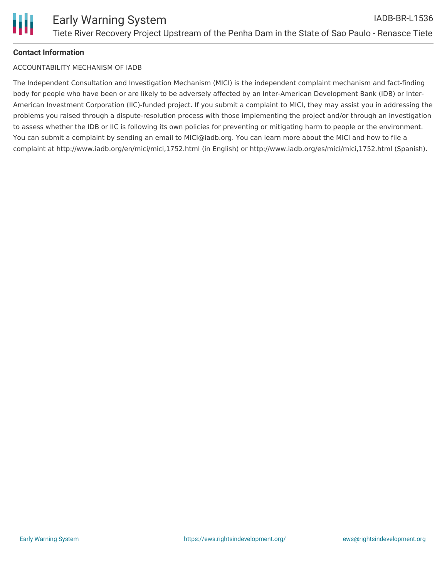

#### **Contact Information**

#### ACCOUNTABILITY MECHANISM OF IADB

The Independent Consultation and Investigation Mechanism (MICI) is the independent complaint mechanism and fact-finding body for people who have been or are likely to be adversely affected by an Inter-American Development Bank (IDB) or Inter-American Investment Corporation (IIC)-funded project. If you submit a complaint to MICI, they may assist you in addressing the problems you raised through a dispute-resolution process with those implementing the project and/or through an investigation to assess whether the IDB or IIC is following its own policies for preventing or mitigating harm to people or the environment. You can submit a complaint by sending an email to MICI@iadb.org. You can learn more about the MICI and how to file a complaint at http://www.iadb.org/en/mici/mici,1752.html (in English) or http://www.iadb.org/es/mici/mici,1752.html (Spanish).